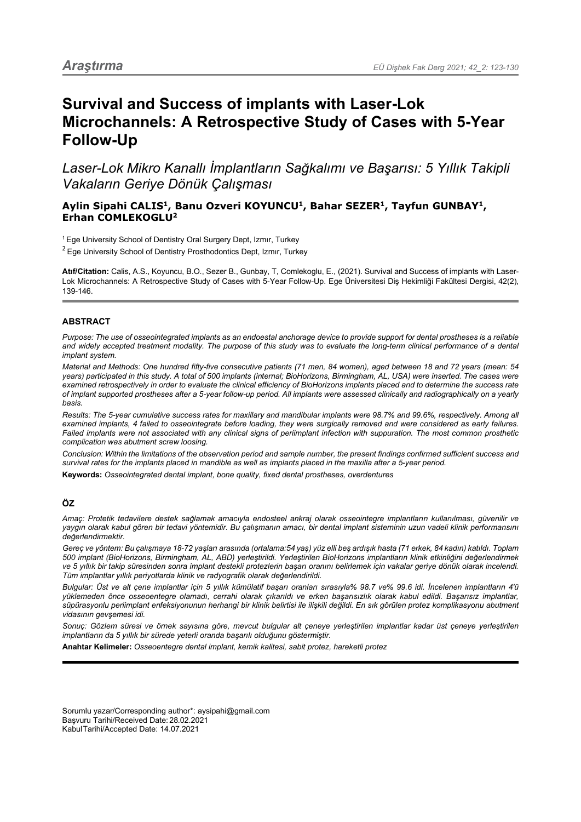# **Survival and Success of implants with Laser-Lok Microchannels: A Retrospective Study of Cases with 5-Year Follow-Up**

*Laser-Lok Mikro Kanallı İmplantların Sağkalımı ve Başarısı: 5 Yıllık Takipli Vakaların Geriye Dönük Çalışması*

# **Aylin Sipahi CALIS1, Banu Ozveri KOYUNCU1, Bahar SEZER1, Tayfun GUNBAY1, Erhan COMLEKOGLU2**

<sup>1</sup>Ege University School of Dentistry Oral Surgery Dept, Izmır, Turkey

 $2$  Ege University School of Dentistry Prosthodontics Dept, Izmir, Turkey

**Atıf/Citation:** Calis, A.S., Koyuncu, B.O., Sezer B., Gunbay, T, Comlekoglu, E., (2021). Survival and Success of implants with Laser-Lok Microchannels: A Retrospective Study of Cases with 5-Year Follow-Up. Ege Üniversitesi Diş Hekimliği Fakültesi Dergisi, 42(2), 139-146.

# **ABSTRACT**

*Purpose: The use of osseointegrated implants as an endoestal anchorage device to provide support for dental prostheses is a reliable and widely accepted treatment modality. The purpose of this study was to evaluate the long-term clinical performance of a dental implant system.* 

*Material and Methods: One hundred fifty-five consecutive patients (71 men, 84 women), aged between 18 and 72 years (mean: 54*  years) participated in this study. A total of 500 implants (internal; BioHorizons, Birmingham, AL, USA) were inserted. The cases were *examined retrospectively in order to evaluate the clinical efficiency of BioHorizons implants placed and to determine the success rate of implant supported prostheses after a 5-year follow-up period. All implants were assessed clinically and radiographically on a yearly basis.*

*Results: The 5-year cumulative success rates for maxillary and mandibular implants were 98.7% and 99.6%, respectively. Among all examined implants, 4 failed to osseointegrate before loading, they were surgically removed and were considered as early failures. Failed implants were not associated with any clinical signs of periimplant infection with suppuration. The most common prosthetic complication was abutment screw loosing.* 

*Conclusion: Within the limitations of the observation period and sample number, the present findings confirmed sufficient success and survival rates for the implants placed in mandible as well as implants placed in the maxilla after a 5-year period.*

**Keywords:** *Osseointegrated dental implant, bone quality, fixed dental prostheses, overdentures*

# **ÖZ**

*Amaç: Protetik tedavilere destek sağlamak amacıyla endosteel ankraj olarak osseointegre implantların kullanılması, güvenilir ve yaygın olarak kabul gören bir tedavi yöntemidir. Bu çalışmanın amacı, bir dental implant sisteminin uzun vadeli klinik performansını değerlendirmektir.*

*Gereç ve yöntem: Bu çalışmaya 18-72 yaşları arasında (ortalama:54 yaş) yüz elli beş ardışık hasta (71 erkek, 84 kadın) katıldı. Toplam 500 implant (BioHorizons, Birmingham, AL, ABD) yerleştirildi. Yerleştirilen BioHorizons implantların klinik etkinliğini değerlendirmek ve 5 yıllık bir takip süresinden sonra implant destekli protezlerin başarı oranını belirlemek için vakalar geriye dönük olarak incelendi. Tüm implantlar yıllık periyotlarda klinik ve radyografik olarak değerlendirildi.*

*Bulgular: Üst ve alt çene implantlar için 5 yıllık kümülatif başarı oranları sırasıyla% 98.7 ve% 99.6 idi. İncelenen implantların 4'ü yüklemeden önce osseoentegre olamadı, cerrahi olarak çıkarıldı ve erken başarısızlık olarak kabul edildi. Başarısız implantlar, süpürasyonlu periimplant enfeksiyonunun herhangi bir klinik belirtisi ile ilişkili değildi. En sık görülen protez komplikasyonu abutment vidasının gevşemesi idi.*

*Sonuç: Gözlem süresi ve örnek sayısına göre, mevcut bulgular alt çeneye yerleştirilen implantlar kadar üst çeneye yerleştirilen implantların da 5 yıllık bir sürede yeterli oranda başarılı olduğunu göstermiştir.*

**Anahtar Kelimeler:** *Osseoentegre dental implant, kemik kalitesi, sabit protez, hareketli protez*

Sorumlu yazar/Corresponding author\*: aysipahi@gmail.com Başvuru Tarihi/Received Date: 28.02.2021 KabulTarihi/Accepted Date: 14.07.2021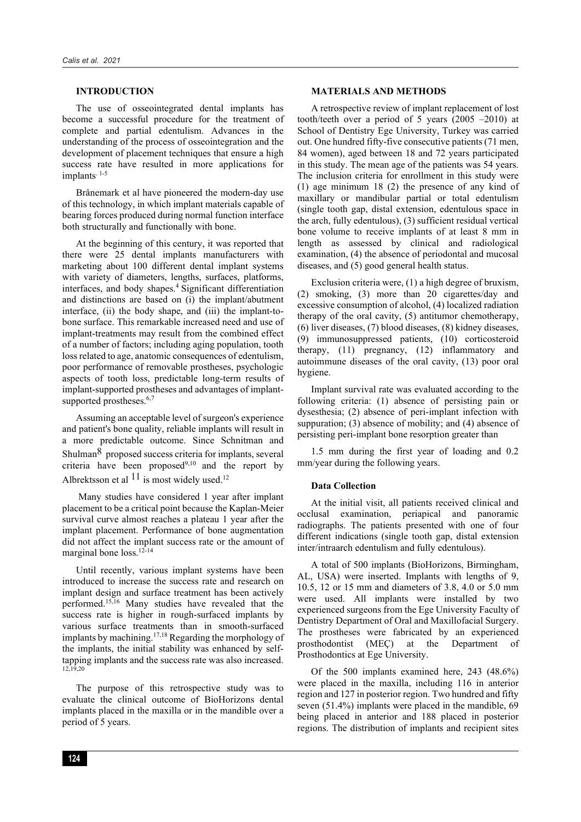## **INTRODUCTION**

The use of osseointegrated dental implants has become a successful procedure for the treatment of complete and partial edentulism. Advances in the understanding of the process of osseointegration and the development of placement techniques that ensure a high success rate have resulted in more applications for implants<sup>1-5</sup>

Brånemark et al have pioneered the modern-day use of this technology, in which implant materials capable of bearing forces produced during normal function interface both structurally and functionally with bone.

At the beginning of this century, it was reported that there were 25 dental implants manufacturers with marketing about 100 different dental implant systems with variety of diameters, lengths, surfaces, platforms, interfaces, and body shapes.4 Significant differentiation and distinctions are based on (i) the implant/abutment interface, (ii) the body shape, and (iii) the implant-tobone surface. This remarkable increased need and use of implant-treatments may result from the combined effect of a number of factors; including aging population, tooth loss related to age, anatomic consequences of edentulism, poor performance of removable prostheses, psychologic aspects of tooth loss, predictable long-term results of implant-supported prostheses and advantages of implantsupported prostheses.<sup>6,7</sup>

Assuming an acceptable level of surgeon's experience and patient's bone quality, reliable implants will result in a more predictable outcome. Since Schnitman and Shulman8 proposed success criteria for implants, several criteria have been proposed9,10 and the report by Albrektsson et al  $11$  is most widely used.<sup>12</sup>

Many studies have considered 1 year after implant placement to be a critical point because the Kaplan-Meier survival curve almost reaches a plateau 1 year after the implant placement. Performance of bone augmentation did not affect the implant success rate or the amount of marginal bone loss.<sup>12-14</sup>

Until recently, various implant systems have been introduced to increase the success rate and research on implant design and surface treatment has been actively performed.15,16 Many studies have revealed that the success rate is higher in rough-surfaced implants by various surface treatments than in smooth-surfaced implants by machining.17,18 Regarding the morphology of the implants, the initial stability was enhanced by selftapping implants and the success rate was also increased. 12,19,20

The purpose of this retrospective study was to evaluate the clinical outcome of BioHorizons dental implants placed in the maxilla or in the mandible over a period of 5 years.

## **MATERIALS AND METHODS**

A retrospective review of implant replacement of lost tooth/teeth over a period of 5 years (2005 –2010) at School of Dentistry Ege University, Turkey was carried out. One hundred fifty-five consecutive patients (71 men, 84 women), aged between 18 and 72 years participated in this study. The mean age of the patients was 54 years. The inclusion criteria for enrollment in this study were (1) age minimum 18 (2) the presence of any kind of maxillary or mandibular partial or total edentulism (single tooth gap, distal extension, edentulous space in the arch, fully edentulous), (3) sufficient residual vertical bone volume to receive implants of at least 8 mm in length as assessed by clinical and radiological examination, (4) the absence of periodontal and mucosal diseases, and (5) good general health status.

Exclusion criteria were, (1) a high degree of bruxism, (2) smoking, (3) more than 20 cigarettes/day and excessive consumption of alcohol, (4) localized radiation therapy of the oral cavity, (5) antitumor chemotherapy, (6) liver diseases, (7) blood diseases, (8) kidney diseases, (9) immunosuppressed patients, (10) corticosteroid therapy, (11) pregnancy, (12) inflammatory and autoimmune diseases of the oral cavity, (13) poor oral hygiene.

Implant survival rate was evaluated according to the following criteria: (1) absence of persisting pain or dysesthesia; (2) absence of peri-implant infection with suppuration; (3) absence of mobility; and (4) absence of persisting peri-implant bone resorption greater than

1.5 mm during the first year of loading and 0.2 mm/year during the following years.

#### **Data Collection**

At the initial visit, all patients received clinical and occlusal examination, periapical and panoramic radiographs. The patients presented with one of four different indications (single tooth gap, distal extension inter/intraarch edentulism and fully edentulous).

A total of 500 implants (BioHorizons, Birmingham, AL, USA) were inserted. Implants with lengths of 9, 10.5, 12 or 15 mm and diameters of 3.8, 4.0 or 5.0 mm were used. All implants were installed by two experienced surgeons from the Ege University Faculty of Dentistry Department of Oral and Maxillofacial Surgery. The prostheses were fabricated by an experienced prosthodontist (MEÇ) at the Department of Prosthodontics at Ege University.

Of the 500 implants examined here, 243 (48.6%) were placed in the maxilla, including 116 in anterior region and 127 in posterior region. Two hundred and fifty seven (51.4%) implants were placed in the mandible, 69 being placed in anterior and 188 placed in posterior regions. The distribution of implants and recipient sites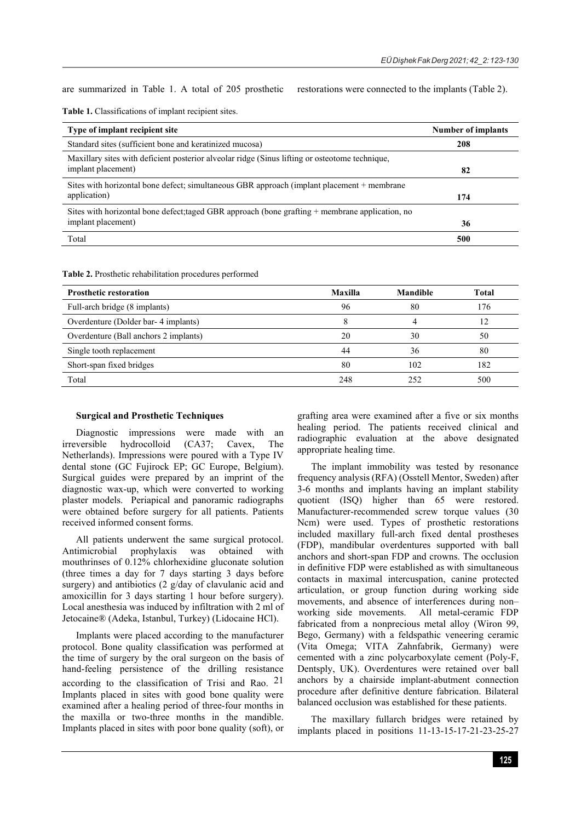are summarized in Table 1. A total of 205 prosthetic restorations were connected to the implants (Table 2).

| Table 1. Classifications of implant recipient sites. |  |  |  |  |  |
|------------------------------------------------------|--|--|--|--|--|
|------------------------------------------------------|--|--|--|--|--|

| Type of implant recipient site                                                                    | <b>Number of implants</b> |
|---------------------------------------------------------------------------------------------------|---------------------------|
| Standard sites (sufficient bone and keratinized mucosa)                                           | 208                       |
| Maxillary sites with deficient posterior alveolar ridge (Sinus lifting or osteotome technique,    |                           |
| implant placement)                                                                                | 82                        |
| Sites with horizontal bone defect; simultaneous GBR approach (implant placement + membrane        |                           |
| application)                                                                                      | 174                       |
| Sites with horizontal bone defect; taged GBR approach (bone grafting $+$ membrane application, no |                           |
| implant placement)                                                                                | 36                        |
| Total                                                                                             | 500                       |

| <b>Table 2.</b> Prosthetic rehabilitation procedures performed |  |  |
|----------------------------------------------------------------|--|--|
|----------------------------------------------------------------|--|--|

| <b>Prosthetic restoration</b>         | Maxilla | <b>Mandible</b> | <b>Total</b> |
|---------------------------------------|---------|-----------------|--------------|
| Full-arch bridge (8 implants)         | 96      | 80              | 176          |
| Overdenture (Dolder bar- 4 implants)  |         |                 | 12           |
| Overdenture (Ball anchors 2 implants) | 20      | 30              | 50           |
| Single tooth replacement              | 44      | 36              | 80           |
| Short-span fixed bridges              | 80      | 102             | 182          |
| Total                                 | 248     | 252             | 500          |

## **Surgical and Prosthetic Techniques**

Diagnostic impressions were made with an irreversible hydrocolloid (CA37; Cavex, The Netherlands). Impressions were poured with a Type IV dental stone (GC Fujirock EP; GC Europe, Belgium). Surgical guides were prepared by an imprint of the diagnostic wax-up, which were converted to working plaster models. Periapical and panoramic radiographs were obtained before surgery for all patients. Patients received informed consent forms.

All patients underwent the same surgical protocol. Antimicrobial prophylaxis was obtained with mouthrinses of 0.12% chlorhexidine gluconate solution (three times a day for 7 days starting 3 days before surgery) and antibiotics (2 g/day of clavulanic acid and amoxicillin for 3 days starting 1 hour before surgery). Local anesthesia was induced by infiltration with 2 ml of Jetocaine® (Adeka, Istanbul, Turkey) (Lidocaine HCl).

Implants were placed according to the manufacturer protocol. Bone quality classification was performed at the time of surgery by the oral surgeon on the basis of hand-feeling persistence of the drilling resistance according to the classification of Trisi and Rao. <sup>21</sup> Implants placed in sites with good bone quality were examined after a healing period of three-four months in the maxilla or two-three months in the mandible. Implants placed in sites with poor bone quality (soft), or

grafting area were examined after a five or six months healing period. The patients received clinical and radiographic evaluation at the above designated appropriate healing time.

The implant immobility was tested by resonance frequency analysis (RFA) (Osstell Mentor, Sweden) after 3-6 months and implants having an implant stability quotient (ISQ) higher than 65 were restored. Manufacturer-recommended screw torque values (30 Ncm) were used. Types of prosthetic restorations included maxillary full-arch fixed dental prostheses (FDP), mandibular overdentures supported with ball anchors and short-span FDP and crowns. The occlusion in definitive FDP were established as with simultaneous contacts in maximal intercuspation, canine protected articulation, or group function during working side movements, and absence of interferences during non– working side movements. All metal-ceramic FDP fabricated from a nonprecious metal alloy (Wiron 99, Bego, Germany) with a feldspathic veneering ceramic (Vita Omega; VITA Zahnfabrik, Germany) were cemented with a zinc polycarboxylate cement (Poly-F, Dentsply, UK). Overdentures were retained over ball anchors by a chairside implant-abutment connection procedure after definitive denture fabrication. Bilateral balanced occlusion was established for these patients.

The maxillary fullarch bridges were retained by implants placed in positions 11-13-15-17-21-23-25-27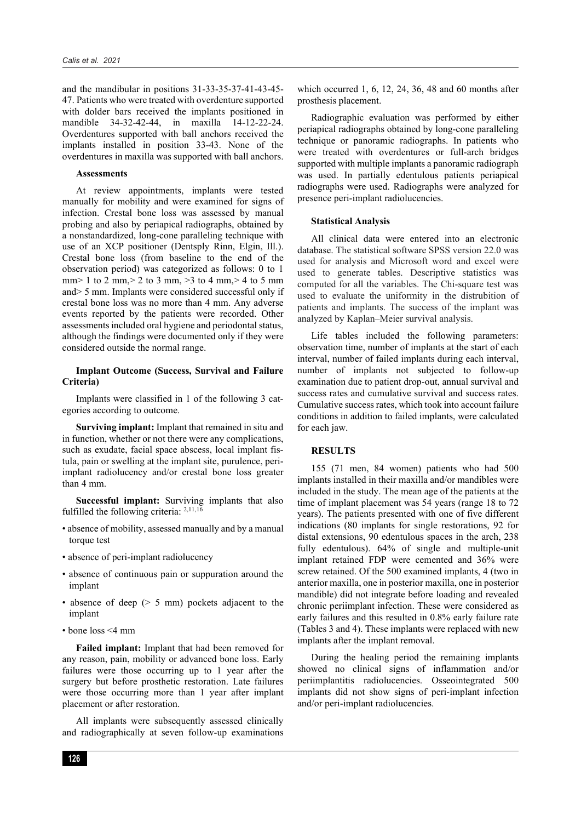and the mandibular in positions 31-33-35-37-41-43-45- 47. Patients who were treated with overdenture supported with dolder bars received the implants positioned in mandible 34-32-42-44, in maxilla 14-12-22-24. Overdentures supported with ball anchors received the implants installed in position 33-43. None of the overdentures in maxilla was supported with ball anchors.

#### **Assessments**

At review appointments, implants were tested manually for mobility and were examined for signs of infection. Crestal bone loss was assessed by manual probing and also by periapical radiographs, obtained by a nonstandardized, long-cone paralleling technique with use of an XCP positioner (Dentsply Rinn, Elgin, Ill.). Crestal bone loss (from baseline to the end of the observation period) was categorized as follows: 0 to 1 mm> 1 to 2 mm,> 2 to 3 mm, > 3 to 4 mm,> 4 to 5 mm and> 5 mm. Implants were considered successful only if crestal bone loss was no more than 4 mm. Any adverse events reported by the patients were recorded. Other assessments included oral hygiene and periodontal status, although the findings were documented only if they were considered outside the normal range.

## **Implant Outcome (Success, Survival and Failure Criteria)**

Implants were classified in 1 of the following 3 categories according to outcome.

**Surviving implant:** Implant that remained in situ and in function, whether or not there were any complications, such as exudate, facial space abscess, local implant fistula, pain or swelling at the implant site, purulence, periimplant radiolucency and/or crestal bone loss greater than 4 mm.

**Successful implant:** Surviving implants that also fulfilled the following criteria: 2,11,16

- absence of mobility, assessed manually and by a manual torque test
- absence of peri-implant radiolucency
- absence of continuous pain or suppuration around the implant
- absence of deep (> 5 mm) pockets adjacent to the implant
- bone loss <4 mm

**Failed implant:** Implant that had been removed for any reason, pain, mobility or advanced bone loss. Early failures were those occurring up to 1 year after the surgery but before prosthetic restoration. Late failures were those occurring more than 1 year after implant placement or after restoration.

All implants were subsequently assessed clinically and radiographically at seven follow-up examinations which occurred 1, 6, 12, 24, 36, 48 and 60 months after prosthesis placement.

Radiographic evaluation was performed by either periapical radiographs obtained by long-cone paralleling technique or panoramic radiographs. In patients who were treated with overdentures or full-arch bridges supported with multiple implants a panoramic radiograph was used. In partially edentulous patients periapical radiographs were used. Radiographs were analyzed for presence peri-implant radiolucencies.

#### **Statistical Analysis**

All clinical data were entered into an electronic database. The statistical software SPSS version 22.0 was used for analysis and Microsoft word and excel were used to generate tables. Descriptive statistics was computed for all the variables. The Chi-square test was used to evaluate the uniformity in the distrubition of patients and implants. The success of the implant was analyzed by Kaplan–Meier survival analysis.

Life tables included the following parameters: observation time, number of implants at the start of each interval, number of failed implants during each interval, number of implants not subjected to follow-up examination due to patient drop-out, annual survival and success rates and cumulative survival and success rates. Cumulative success rates, which took into account failure conditions in addition to failed implants, were calculated for each jaw.

#### **RESULTS**

155 (71 men, 84 women) patients who had 500 implants installed in their maxilla and/or mandibles were included in the study. The mean age of the patients at the time of implant placement was 54 years (range 18 to 72 years). The patients presented with one of five different indications (80 implants for single restorations, 92 for distal extensions, 90 edentulous spaces in the arch, 238 fully edentulous). 64% of single and multiple-unit implant retained FDP were cemented and 36% were screw retained. Of the 500 examined implants, 4 (two in anterior maxilla, one in posterior maxilla, one in posterior mandible) did not integrate before loading and revealed chronic periimplant infection. These were considered as early failures and this resulted in 0.8% early failure rate (Tables 3 and 4). These implants were replaced with new implants after the implant removal.

During the healing period the remaining implants showed no clinical signs of inflammation and/or periimplantitis radiolucencies. Osseointegrated 500 implants did not show signs of peri-implant infection and/or peri-implant radiolucencies.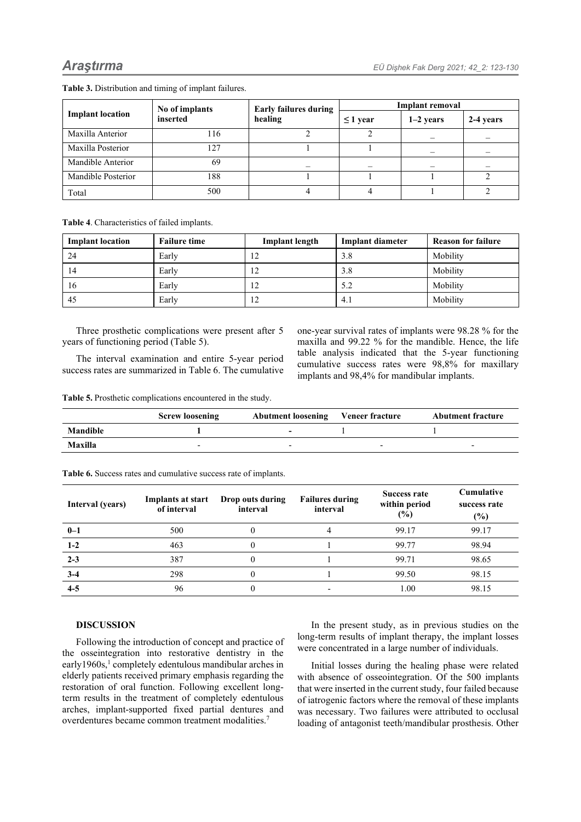| <b>Implant location</b> | No of implants<br>inserted | <b>Early failures during</b> | <b>Implant removal</b> |                          |           |
|-------------------------|----------------------------|------------------------------|------------------------|--------------------------|-----------|
|                         |                            | healing                      | $\leq$ 1 year          | $1-2$ years              | 2-4 years |
| Maxilla Anterior        | 116                        |                              |                        | $\overline{\phantom{0}}$ |           |
| Maxilla Posterior       | 127                        |                              |                        |                          |           |
| Mandible Anterior       | 69                         |                              |                        |                          |           |
| Mandible Posterior      | 188                        |                              |                        |                          |           |
| Total                   | 500                        |                              |                        |                          |           |

**Table 3.** Distribution and timing of implant failures.

**Table 4**. Characteristics of failed implants.

| <b>Implant location</b> | <b>Failure time</b> | <b>Implant length</b> | <b>Implant diameter</b> | <b>Reason for failure</b> |
|-------------------------|---------------------|-----------------------|-------------------------|---------------------------|
| 24                      | Early               | 12                    | 3.8                     | Mobility                  |
| 14                      | Early               | 12                    | 3.8                     | Mobility                  |
| 16                      | Early               | 12                    | 5.2                     | Mobility                  |
| 45                      | Early               | $12^{\circ}$          | 4.1                     | Mobility                  |

Three prosthetic complications were present after 5 years of functioning period (Table 5).

The interval examination and entire 5-year period success rates are summarized in Table 6. The cumulative one-year survival rates of implants were 98.28 % for the maxilla and 99.22 % for the mandible. Hence, the life table analysis indicated that the 5-year functioning cumulative success rates were 98,8% for maxillary implants and 98,4% for mandibular implants.

**Table 5.** Prosthetic complications encountered in the study.

|          | <b>Screw loosening</b> | <b>Abutment loosening</b> | Veneer fracture | <b>Abutment fracture</b> |
|----------|------------------------|---------------------------|-----------------|--------------------------|
| Mandible |                        | -                         |                 |                          |
| Maxilla  | -                      |                           | -               |                          |

| Interval (years) | <b>Implants at start</b><br>of interval | Drop outs during<br>interval | <b>Failures during</b><br>interval | <b>Success rate</b><br>within period<br>(%) | <b>Cumulative</b><br>success rate<br>$(\%)$ |
|------------------|-----------------------------------------|------------------------------|------------------------------------|---------------------------------------------|---------------------------------------------|
| $0 - 1$          | 500                                     |                              |                                    | 99.17                                       | 99.17                                       |
| $1-2$            | 463                                     |                              |                                    | 99.77                                       | 98.94                                       |
| $2 - 3$          | 387                                     |                              |                                    | 99.71                                       | 98.65                                       |
| $3-4$            | 298                                     |                              |                                    | 99.50                                       | 98.15                                       |
| $4 - 5$          | 96                                      |                              |                                    | 1.00                                        | 98.15                                       |

**Table 6.** Success rates and cumulative success rate of implants.

# **DISCUSSION**

Following the introduction of concept and practice of the osseintegration into restorative dentistry in the early1960s,<sup>1</sup> completely edentulous mandibular arches in elderly patients received primary emphasis regarding the restoration of oral function. Following excellent longterm results in the treatment of completely edentulous arches, implant-supported fixed partial dentures and overdentures became common treatment modalities.7

In the present study, as in previous studies on the long-term results of implant therapy, the implant losses were concentrated in a large number of individuals.

Initial losses during the healing phase were related with absence of osseointegration. Of the 500 implants that were inserted in the current study, four failed because of iatrogenic factors where the removal of these implants was necessary. Two failures were attributed to occlusal loading of antagonist teeth/mandibular prosthesis. Other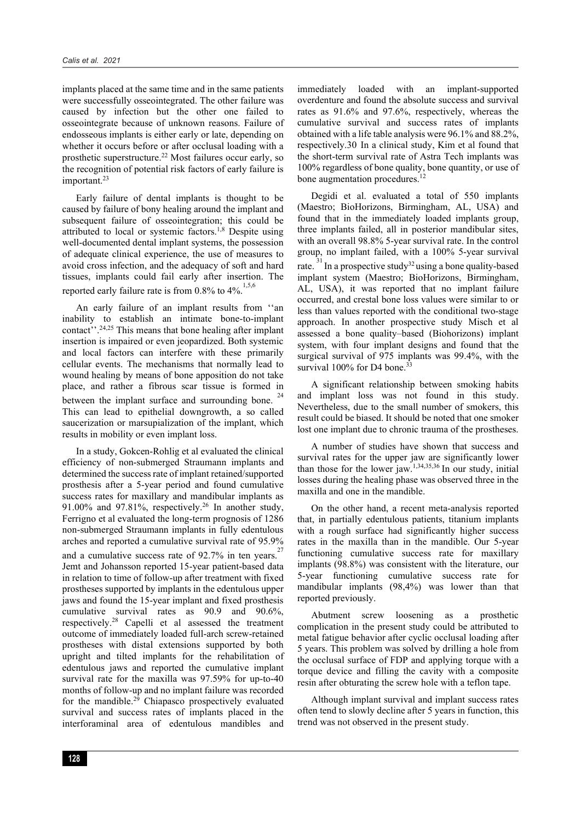implants placed at the same time and in the same patients were successfully osseointegrated. The other failure was caused by infection but the other one failed to osseointegrate because of unknown reasons. Failure of endosseous implants is either early or late, depending on whether it occurs before or after occlusal loading with a prosthetic superstructure.22 Most failures occur early, so the recognition of potential risk factors of early failure is important.<sup>23</sup>

Early failure of dental implants is thought to be caused by failure of bony healing around the implant and subsequent failure of osseointegration; this could be attributed to local or systemic factors.<sup>1,8</sup> Despite using well-documented dental implant systems, the possession of adequate clinical experience, the use of measures to avoid cross infection, and the adequacy of soft and hard tissues, implants could fail early after insertion. The reported early failure rate is from 0.8% to  $4\%$ .<sup>1,5,6</sup>

An early failure of an implant results from ''an inability to establish an intimate bone-to-implant contact''.24,25 This means that bone healing after implant insertion is impaired or even jeopardized. Both systemic and local factors can interfere with these primarily cellular events. The mechanisms that normally lead to wound healing by means of bone apposition do not take place, and rather a fibrous scar tissue is formed in between the implant surface and surrounding bone. This can lead to epithelial downgrowth, a so called saucerization or marsupialization of the implant, which results in mobility or even implant loss.

In a study, Gokcen-Rohlig et al evaluated the clinical efficiency of non-submerged Straumann implants and determined the success rate of implant retained/supported prosthesis after a 5-year period and found cumulative success rates for maxillary and mandibular implants as 91.00% and 97.81%, respectively.26 In another study, Ferrigno et al evaluated the long-term prognosis of 1286 non-submerged Straumann implants in fully edentulous arches and reported a cumulative survival rate of 95.9% and a cumulative success rate of  $92.7\%$  in ten years.<sup>27</sup> Jemt and Johansson reported 15-year patient-based data in relation to time of follow-up after treatment with fixed prostheses supported by implants in the edentulous upper jaws and found the 15-year implant and fixed prosthesis cumulative survival rates as 90.9 and 90.6%, respectively.28 Capelli et al assessed the treatment outcome of immediately loaded full-arch screw-retained prostheses with distal extensions supported by both upright and tilted implants for the rehabilitation of edentulous jaws and reported the cumulative implant survival rate for the maxilla was 97.59% for up-to-40 months of follow-up and no implant failure was recorded for the mandible.<sup>29</sup> Chiapasco prospectively evaluated survival and success rates of implants placed in the interforaminal area of edentulous mandibles and

immediately loaded with an implant-supported overdenture and found the absolute success and survival rates as 91.6% and 97.6%, respectively, whereas the cumulative survival and success rates of implants obtained with a life table analysis were 96.1% and 88.2%, respectively.30 In a clinical study, Kim et al found that the short-term survival rate of Astra Tech implants was 100% regardless of bone quality, bone quantity, or use of bone augmentation procedures.<sup>12</sup>

Degidi et al. evaluated a total of 550 implants (Maestro; BioHorizons, Birmingham, AL, USA) and found that in the immediately loaded implants group, three implants failed, all in posterior mandibular sites, with an overall 98.8% 5-year survival rate. In the control group, no implant failed, with a 100% 5-year survival rate.<sup>31</sup> In a prospective study<sup>32</sup> using a bone quality-based implant system (Maestro; BioHorizons, Birmingham, AL, USA), it was reported that no implant failure occurred, and crestal bone loss values were similar to or less than values reported with the conditional two-stage approach. In another prospective study Misch et al assessed a bone quality–based (Biohorizons) implant system, with four implant designs and found that the surgical survival of 975 implants was 99.4%, with the survival  $100\%$  for D4 bone.<sup>33</sup>

A significant relationship between smoking habits and implant loss was not found in this study. Nevertheless, due to the small number of smokers, this result could be biased. It should be noted that one smoker lost one implant due to chronic trauma of the prostheses.

A number of studies have shown that success and survival rates for the upper jaw are significantly lower than those for the lower jaw.<sup>1,34,35,36</sup> In our study, initial losses during the healing phase was observed three in the maxilla and one in the mandible.

On the other hand, a recent meta-analysis reported that, in partially edentulous patients, titanium implants with a rough surface had significantly higher success rates in the maxilla than in the mandible. Our 5-year functioning cumulative success rate for maxillary implants (98.8%) was consistent with the literature, our 5-year functioning cumulative success rate for mandibular implants (98,4%) was lower than that reported previously.

Abutment screw loosening as a prosthetic complication in the present study could be attributed to metal fatigue behavior after cyclic occlusal loading after 5 years. This problem was solved by drilling a hole from the occlusal surface of FDP and applying torque with a torque device and filling the cavity with a composite resin after obturating the screw hole with a teflon tape.

Although implant survival and implant success rates often tend to slowly decline after 5 years in function, this trend was not observed in the present study.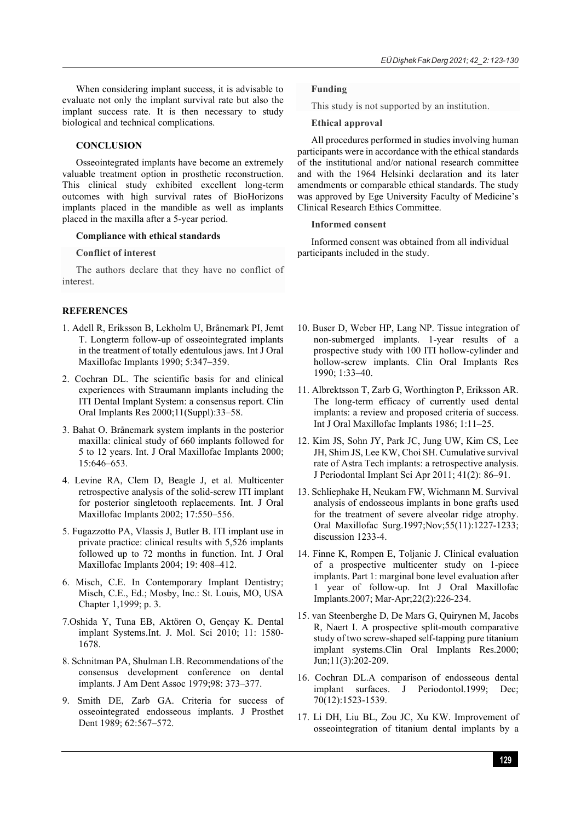When considering implant success, it is advisable to evaluate not only the implant survival rate but also the implant success rate. It is then necessary to study biological and technical complications.

## **CONCLUSION**

Osseointegrated implants have become an extremely valuable treatment option in prosthetic reconstruction. This clinical study exhibited excellent long-term outcomes with high survival rates of BioHorizons implants placed in the mandible as well as implants placed in the maxilla after a 5-year period.

## **Compliance with ethical standards**

## **Conflict of interest**

The authors declare that they have no conflict of interest.

## **REFERENCES**

- 1. Adell R, Eriksson B, Lekholm U, Brånemark PI, Jemt T. Longterm follow-up of osseointegrated implants in the treatment of totally edentulous jaws. Int J Oral Maxillofac Implants 1990; 5:347–359.
- 2. Cochran DL. The scientific basis for and clinical experiences with Straumann implants including the ITI Dental Implant System: a consensus report. Clin Oral Implants Res 2000;11(Suppl):33–58.
- 3. Bahat O. Brånemark system implants in the posterior maxilla: clinical study of 660 implants followed for 5 to 12 years. Int. J Oral Maxillofac Implants 2000; 15:646–653.
- 4. Levine RA, Clem D, Beagle J, et al. Multicenter retrospective analysis of the solid-screw ITI implant for posterior singletooth replacements. Int. J Oral Maxillofac Implants 2002; 17:550–556.
- 5. Fugazzotto PA, Vlassis J, Butler B. ITI implant use in private practice: clinical results with 5,526 implants followed up to 72 months in function. Int. J Oral Maxillofac Implants 2004; 19: 408–412.
- 6. Misch, C.E. In Contemporary Implant Dentistry; Misch, C.E., Ed.; Mosby, Inc.: St. Louis, MO, USA Chapter 1,1999; p. 3.
- 7.Oshida Y, Tuna EB, Aktören O, Gençay K. Dental implant Systems.Int. J. Mol. Sci 2010; 11: 1580- 1678.
- 8. Schnitman PA, Shulman LB. Recommendations of the consensus development conference on dental implants. J Am Dent Assoc 1979;98: 373–377.
- 9. Smith DE, Zarb GA. Criteria for success of osseointegrated endosseous implants. J Prosthet Dent 1989; 62:567–572.

# **Funding**

This study is not supported by an institution.

## **Ethical approval**

All procedures performed in studies involving human participants were in accordance with the ethical standards of the institutional and/or national research committee and with the 1964 Helsinki declaration and its later amendments or comparable ethical standards. The study was approved by Ege University Faculty of Medicine's Clinical Research Ethics Committee.

#### **Informed consent**

Informed consent was obtained from all individual participants included in the study.

- 10. Buser D, Weber HP, Lang NP. Tissue integration of non-submerged implants. 1-year results of a prospective study with 100 ITI hollow-cylinder and hollow-screw implants. Clin Oral Implants Res 1990; 1:33–40.
- 11. Albrektsson T, Zarb G, Worthington P, Eriksson AR. The long-term efficacy of currently used dental implants: a review and proposed criteria of success. Int J Oral Maxillofac Implants 1986; 1:11–25.
- 12. Kim JS, Sohn JY, Park JC, Jung UW, Kim CS, Lee JH, Shim JS, Lee KW, Choi SH. Cumulative survival rate of Astra Tech implants: a retrospective analysis. J Periodontal Implant Sci Apr 2011; 41(2): 86–91.
- 13. Schliephake H, Neukam FW, Wichmann M. Survival analysis of endosseous implants in bone grafts used for the treatment of severe alveolar ridge atrophy. Oral Maxillofac Surg.1997;Nov;55(11):1227-1233; discussion 1233-4.
- 14. Finne K, Rompen E, Toljanic J. Clinical evaluation of a prospective multicenter study on 1-piece implants. Part 1: marginal bone level evaluation after 1 year of follow-up. Int J Oral Maxillofac Implants.2007; Mar-Apr;22(2):226-234.
- 15. van Steenberghe D, De Mars G, Quirynen M, Jacobs R, Naert I. A prospective split-mouth comparative study of two screw-shaped self-tapping pure titanium implant systems.Clin Oral Implants Res.2000; Jun;11(3):202-209.
- 16. Cochran DL.A comparison of endosseous dental implant surfaces. J Periodontol.1999; Dec; 70(12):1523-1539.
- 17. Li DH, Liu BL, Zou JC, Xu KW. Improvement of osseointegration of titanium dental implants by a